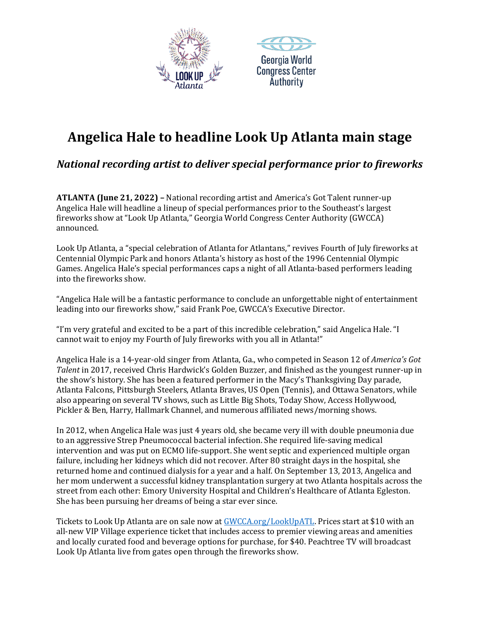



## **Angelica Hale to headline Look Up Atlanta main stage**

*National recording artist to deliver special performance prior to fireworks*

**ATLANTA (June 21, 2022) –** National recording artist and America's Got Talent runner-up Angelica Hale will headline a lineup of special performances prior to the Southeast's largest fireworks show at "Look Up Atlanta," Georgia World Congress Center Authority (GWCCA) announced.

Look Up Atlanta, a "special celebration of Atlanta for Atlantans," revives Fourth of July fireworks at Centennial Olympic Park and honors Atlanta's history as host of the 1996 Centennial Olympic Games. Angelica Hale's special performances caps a night of all Atlanta-based performers leading into the fireworks show.

"Angelica Hale will be a fantastic performance to conclude an unforgettable night of entertainment leading into our fireworks show," said Frank Poe, GWCCA's Executive Director.

"I'm very grateful and excited to be a part of this incredible celebration," said Angelica Hale. "I cannot wait to enjoy my Fourth of July fireworks with you all in Atlanta!"

Angelica Hale is a 14-year-old singer from Atlanta, Ga., who competed in Season 12 of *America's Got Talent* in 2017, received Chris Hardwick's Golden Buzzer, and finished as the youngest runner-up in the show's history. She has been a featured performer in the Macy's Thanksgiving Day parade, Atlanta Falcons, Pittsburgh Steelers, Atlanta Braves, US Open (Tennis), and Ottawa Senators, while also appearing on several TV shows, such as Little Big Shots, Today Show, Access Hollywood, Pickler & Ben, Harry, Hallmark Channel, and numerous affiliated news/morning shows.

In 2012, when Angelica Hale was just 4 years old, she became very ill with double pneumonia due to an aggressive Strep Pneumococcal bacterial infection. She required life-saving medical intervention and was put on ECMO life-support. She went septic and experienced multiple organ failure, including her kidneys which did not recover. After 80 straight days in the hospital, she returned home and continued dialysis for a year and a half. On September 13, 2013, Angelica and her mom underwent a successful kidney transplantation surgery at two Atlanta hospitals across the street from each other: Emory University Hospital and Children's Healthcare of Atlanta Egleston. She has been pursuing her dreams of being a star ever since.

Tickets to Look Up Atlanta are on sale now at [GWCCA.org/LookUpATL.](http://www.gwcca.org/LookUpATL) Prices start at \$10 with an all-new VIP Village experience ticket that includes access to premier viewing areas and amenities and locally curated food and beverage options for purchase, for \$40. Peachtree TV will broadcast Look Up Atlanta live from gates open through the fireworks show.